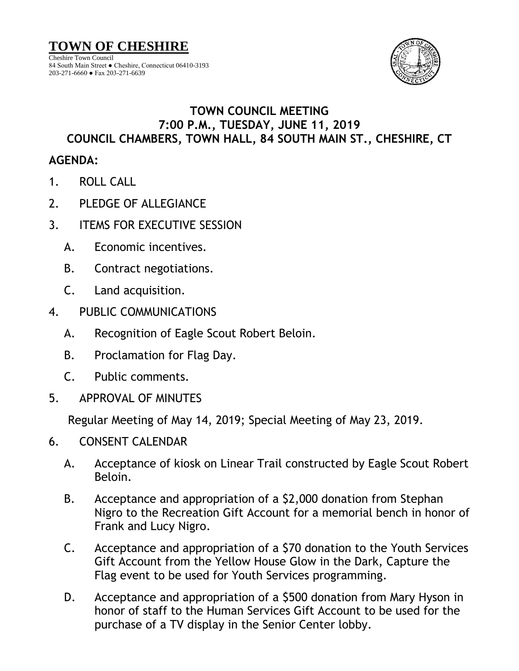

## 84 South Main Street ● Cheshire, Connecticut 06410-3193 203-271-6660 ● Fax 203-271-6639

## **TOWN COUNCIL MEETING 7:00 P.M., TUESDAY, JUNE 11, 2019 COUNCIL CHAMBERS, TOWN HALL, 84 SOUTH MAIN ST., CHESHIRE, CT**

## **AGENDA:**

- 1. ROLL CALL
- 2. PLEDGE OF ALLEGIANCE
- 3. ITEMS FOR EXECUTIVE SESSION
	- A. Economic incentives.
	- B. Contract negotiations.
	- C. Land acquisition.
- 4. PUBLIC COMMUNICATIONS
	- A. Recognition of Eagle Scout Robert Beloin.
	- B. Proclamation for Flag Day.
	- C. Public comments.
- 5. APPROVAL OF MINUTES

Regular Meeting of May 14, 2019; Special Meeting of May 23, 2019.

- 6. CONSENT CALENDAR
	- A. Acceptance of kiosk on Linear Trail constructed by Eagle Scout Robert Beloin.
	- B. Acceptance and appropriation of a \$2,000 donation from Stephan Nigro to the Recreation Gift Account for a memorial bench in honor of Frank and Lucy Nigro.
	- C. Acceptance and appropriation of a \$70 donation to the Youth Services Gift Account from the Yellow House Glow in the Dark, Capture the Flag event to be used for Youth Services programming.
	- D. Acceptance and appropriation of a \$500 donation from Mary Hyson in honor of staff to the Human Services Gift Account to be used for the purchase of a TV display in the Senior Center lobby.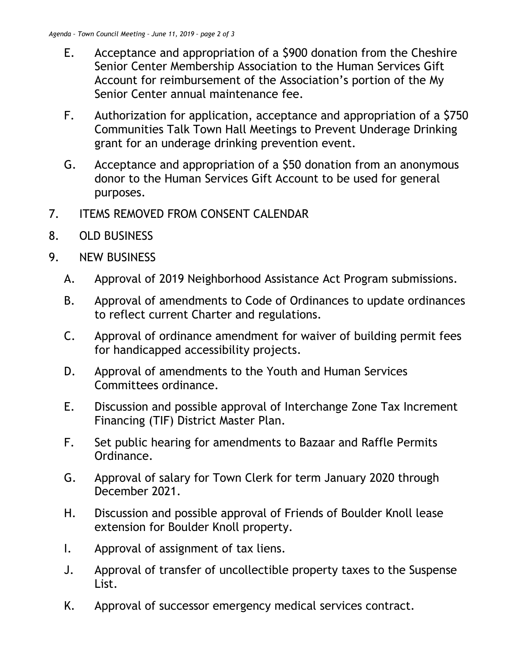- E. Acceptance and appropriation of a \$900 donation from the Cheshire Senior Center Membership Association to the Human Services Gift Account for reimbursement of the Association's portion of the My Senior Center annual maintenance fee.
- F. Authorization for application, acceptance and appropriation of a \$750 Communities Talk Town Hall Meetings to Prevent Underage Drinking grant for an underage drinking prevention event.
- G. Acceptance and appropriation of a \$50 donation from an anonymous donor to the Human Services Gift Account to be used for general purposes.
- 7. ITEMS REMOVED FROM CONSENT CALENDAR
- 8. OLD BUSINESS
- 9. NEW BUSINESS
	- A. Approval of 2019 Neighborhood Assistance Act Program submissions.
	- B. Approval of amendments to Code of Ordinances to update ordinances to reflect current Charter and regulations.
	- C. Approval of ordinance amendment for waiver of building permit fees for handicapped accessibility projects.
	- D. Approval of amendments to the Youth and Human Services Committees ordinance.
	- E. Discussion and possible approval of Interchange Zone Tax Increment Financing (TIF) District Master Plan.
	- F. Set public hearing for amendments to Bazaar and Raffle Permits Ordinance.
	- G. Approval of salary for Town Clerk for term January 2020 through December 2021.
	- H. Discussion and possible approval of Friends of Boulder Knoll lease extension for Boulder Knoll property.
	- I. Approval of assignment of tax liens.
	- J. Approval of transfer of uncollectible property taxes to the Suspense List.
	- K. Approval of successor emergency medical services contract.